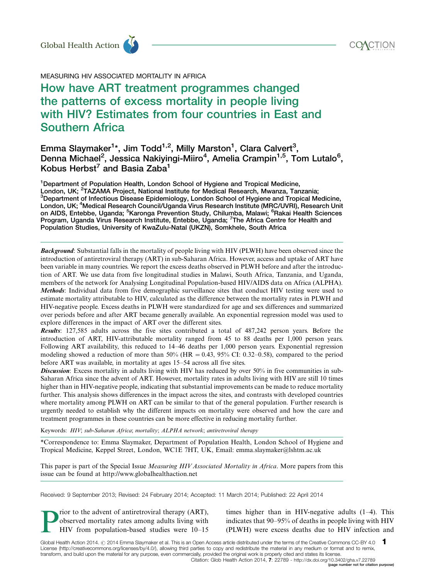



MEASURING HIV ASSOCIATED MORTALITY IN AFRICA

# How have ART treatment programmes changed the patterns of excess mortality in people living with HIV? Estimates from four countries in East and Southern Africa Global Health Action<br>MEASURING HIV ASSOCIATED MORTALITY IN AFRICA<br>**How have ART treatment programmes changed**

Emma Slaymaker<sup>1</sup>\*, Jim Todd<sup>1,2</sup>, Milly Marston<sup>1</sup>, Clara Calvert<sup>3</sup>, Denna Michael<sup>2</sup>, Jessica Nakiyingi-Miiro<sup>4</sup>, Amelia Crampin<sup>1,5</sup>, Tom Lutalo<sup>6</sup>, Kobus Herbst<sup>7</sup> and Basia Zaba<sup>1</sup>

<sup>1</sup>Department of Population Health, London School of Hygiene and Tropical Medicine, London, UK; <sup>2</sup>TAZAMA Project, National Institute for Medical Research, Mwanza, Tanzania;<br><sup>3</sup>Department of Infectious Disease Enidemiology, London School of Hygiene and Tropical M <sup>3</sup>Department of Infectious Disease Epidemiology, London School of Hygiene and Tropical Medicine, London, UK; <sup>4</sup>Medical Research Council/Uganda Virus Research Institute (MRC/UVRI), Research Unit on AIDS, Entebbe, Uganda; <sup>5</sup>Karonga Prevention Study, Chilumba, Malawi; <sup>6</sup>Rakai Health Sciences Program, Uganda Virus Research Institute, Entebbe, Uganda; <sup>7</sup>The Africa Centre for Health and Population Studies, University of KwaZulu-Natal (UKZN), Somkhele, South Africa

**Background:** Substantial falls in the mortality of people living with HIV (PLWH) have been observed since the introduction of antiretroviral therapy (ART) in sub-Saharan Africa. However, access and uptake of ART have been variable in many countries. We report the excess deaths observed in PLWH before and after the introduction of ART. We use data from five longitudinal studies in Malawi, South Africa, Tanzania, and Uganda, members of the network for Analysing Longitudinal Population-based HIV/AIDS data on Africa (ALPHA). Methods: Individual data from five demographic surveillance sites that conduct HIV testing were used to estimate mortality attributable to HIV, calculated as the difference between the mortality rates in PLWH and HIV-negative people. Excess deaths in PLWH were standardized for age and sex differences and summarized over periods before and after ART became generally available. An exponential regression model was used to explore differences in the impact of ART over the different sites.

Results: 127,585 adults across the five sites contributed a total of 487,242 person years. Before the introduction of ART, HIV-attributable mortality ranged from 45 to 88 deaths per 1,000 person years. Following ART availability, this reduced to 14-46 deaths per 1,000 person years. Exponential regression modeling showed a reduction of more than  $50\%$  (HR = 0.43, 95% CI: 0.32–0.58), compared to the period before ART was available, in mortality at ages 15-54 across all five sites.

**Discussion:** Excess mortality in adults living with HIV has reduced by over 50% in five communities in sub-Saharan Africa since the advent of ART. However, mortality rates in adults living with HIV are still 10 times higher than in HIV-negative people, indicating that substantial improvements can be made to reduce mortality further. This analysis shows differences in the impact across the sites, and contrasts with developed countries where mortality among PLWH on ART can be similar to that of the general population. Further research is urgently needed to establish why the different impacts on mortality were observed and how the care and treatment programmes in these countries can be more effective in reducing mortality further.

Keywords: HIV; sub-Saharan Africa; mortality; ALPHA network; antiretroviral therapy

\*Correspondence to: Emma Slaymaker, Department of Population Health, London School of Hygiene and Tropical Medicine, Keppel Street, London, WC1E 7HT, UK, Email: emma.slaymaker@lshtm.ac.uk

This paper is part of the Special Issue *[Measuring HIV Associated Mortality in Africa](http://www.globalhealthaction.net/index.php/gha/issue/view/1602#Measuring HIV Associated Mortality in Africa)*. More papers from this [issue can be found at http://www.globalhealthaction.net](http://www.globalhealthaction.net/index.php/gha/issue/view/1602#Measuring HIV Associated Mortality in Africa)

Received: 9 September 2013; Revised: 24 February 2014; Accepted: 11 March 2014; Published: 22 April 2014

**Polynomia** Tion to the advent of antiretroviral therapy (ART),<br>boserved mortality rates among adults living with<br>HIV from population-based studies were 10–15 observed mortality rates among adults living with HIV from population-based studies were 10-15

times higher than in HIV-negative adults  $(1-4)$ . This indicates that 90-95% of deaths in people living with HIV (PLWH) were excess deaths due to HIV infection and

Global Health Action 2014. @ 2014 Emma Slaymaker et al. This is an Open Access article distributed under the terms of the Creative Commons CC-BY 4.0 License (http://creativecommons.org/licenses/by/4.0/), allowing third parties to copy and redistribute the material in any medium or format and to remix, transform, and build upon the material for any purpose, even commercially, provided the original work is properly cited and states its license. 1 [Citation: Glob Health Action 2014,](http://www.globalhealthaction.net/index.php/gha/article/view/22789) 7: 22789 - <http://dx.doi.org/10.3402/gha.v7.22789>

(page number not for citation purpose)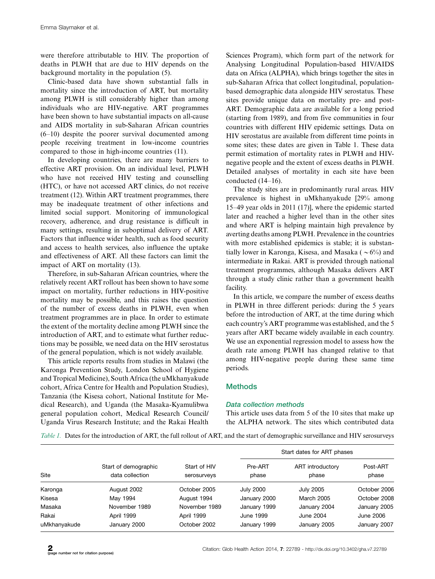were therefore attributable to HIV. The proportion of deaths in PLWH that are due to HIV depends on the background mortality in the population (5).

Clinic-based data have shown substantial falls in mortality since the introduction of ART, but mortality among PLWH is still considerably higher than among individuals who are HIV-negative. ART programmes have been shown to have substantial impacts on all-cause and AIDS mortality in sub-Saharan African countries (6-10) despite the poorer survival documented among people receiving treatment in low-income countries compared to those in high-income countries (11).

In developing countries, there are many barriers to effective ART provision. On an individual level, PLWH who have not received HIV testing and counselling (HTC), or have not accessed ART clinics, do not receive treatment (12). Within ART treatment programmes, there may be inadequate treatment of other infections and limited social support. Monitoring of immunological recovery, adherence, and drug resistance is difficult in many settings, resulting in suboptimal delivery of ART. Factors that influence wider health, such as food security and access to health services, also influence the uptake and effectiveness of ART. All these factors can limit the impact of ART on mortality (13).

Therefore, in sub-Saharan African countries, where the relatively recent ARTrollout has been shown to have some impact on mortality, further reductions in HIV-positive mortality may be possible, and this raises the question of the number of excess deaths in PLWH, even when treatment programmes are in place. In order to estimate the extent of the mortality decline among PLWH since the introduction of ART, and to estimate what further reductions may be possible, we need data on the HIV serostatus of the general population, which is not widely available.

This article reports results from studies in Malawi (the Karonga Prevention Study, London School of Hygiene and Tropical Medicine), South Africa (the uMkhanyakude cohort, Africa Centre for Health and Population Studies), Tanzania (the Kisesa cohort, National Institute for Medical Research), and Uganda (the Masaka-Kyamulibwa general population cohort, Medical Research Council/ Uganda Virus Research Institute; and the Rakai Health Sciences Program), which form part of the network for Analysing Longitudinal Population-based HIV/AIDS data on Africa (ALPHA), which brings together the sites in sub-Saharan Africa that collect longitudinal, populationbased demographic data alongside HIV serostatus. These sites provide unique data on mortality pre- and post-ART. Demographic data are available for a long period (starting from 1989), and from five communities in four countries with different HIV epidemic settings. Data on HIV serostatus are available from different time points in some sites; these dates are given in Table 1. These data permit estimation of mortality rates in PLWH and HIVnegative people and the extent of excess deaths in PLWH. Detailed analyses of mortality in each site have been conducted (14-16).

The study sites are in predominantly rural areas. HIV prevalence is highest in uMkhanyakude [29% among 15-49 year olds in 2011 (17)], where the epidemic started later and reached a higher level than in the other sites and where ART is helping maintain high prevalence by averting deaths among PLWH. Prevalence in the countries with more established epidemics is stable; it is substantially lower in Karonga, Kisesa, and Masaka ( $\sim 6\%$ ) and intermediate in Rakai. ART is provided through national treatment programmes, although Masaka delivers ART through a study clinic rather than a government health facility.

In this article, we compare the number of excess deaths in PLWH in three different periods: during the 5 years before the introduction of ART, at the time during which each country's ART programme was established, and the 5 years after ART became widely available in each country. We use an exponential regression model to assess how the death rate among PLWH has changed relative to that among HIV-negative people during these same time periods.

# **Methods**

# Data collection methods

This article uses data from 5 of the 10 sites that make up the ALPHA network. The sites which contributed data

Table 1. Dates for the introduction of ART, the full rollout of ART, and the start of demographic surveillance and HIV serosurveys

| Site                  |                                         |                                   |                           | Start dates for ART phases |                           |  |  |
|-----------------------|-----------------------------------------|-----------------------------------|---------------------------|----------------------------|---------------------------|--|--|
|                       | Start of demographic<br>data collection | Start of HIV<br>serosurveys       | Pre-ART<br>phase          | ART introductory<br>phase  | Post-ART<br>phase         |  |  |
| Karonga               | August 2002                             | October 2005                      | <b>July 2000</b>          | <b>July 2005</b>           | October 2006              |  |  |
| Kisesa                | May 1994                                | August 1994                       | January 2000              | <b>March 2005</b>          | October 2008              |  |  |
| Masaka                | November 1989                           | November 1989                     | January 1999              | January 2004               | January 2005              |  |  |
| Rakai<br>uMkhanyakude | <b>April 1999</b><br>January 2000       | <b>April 1999</b><br>October 2002 | June 1999<br>January 1999 | June 2004<br>January 2005  | June 2006<br>January 2007 |  |  |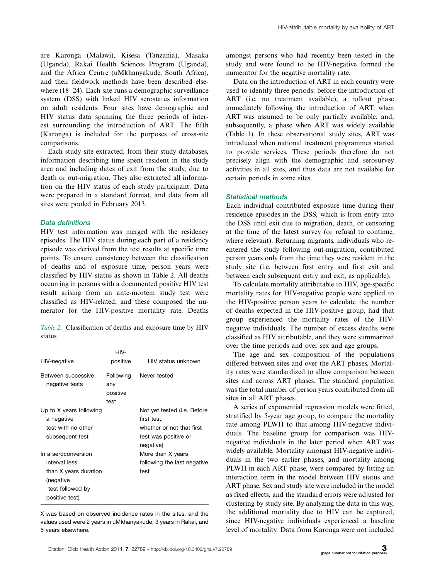are Karonga (Malawi), Kisesa (Tanzania), Masaka (Uganda), Rakai Health Sciences Program (Uganda), and the Africa Centre (uMkhanyakude, South Africa), and their fieldwork methods have been described elsewhere (18-24). Each site runs a demographic surveillance system (DSS) with linked HIV serostatus information on adult residents. Four sites have demographic and HIV status data spanning the three periods of interest surrounding the introduction of ART. The fifth (Karonga) is included for the purposes of cross-site comparisons.

Each study site extracted, from their study databases, information describing time spent resident in the study area and including dates of exit from the study, due to death or out-migration. They also extracted all information on the HIV status of each study participant. Data were prepared in a standard format, and data from all sites were pooled in February 2013.

# Data definitions

HIV test information was merged with the residency episodes. The HIV status during each part of a residency episode was derived from the test results at specific time points. To ensure consistency between the classification of deaths and of exposure time, person years were classified by HIV status as shown in Table 2. All deaths occurring in persons with a documented positive HIV test result arising from an ante-mortem study test were classified as HIV-related, and these composed the numerator for the HIV-positive mortality rate. Deaths

Table 2. Classification of deaths and exposure time by HIV status

| HIV-negative                                                                                                     | HIV-<br>positive                     | HIV status unknown                                                                                           |
|------------------------------------------------------------------------------------------------------------------|--------------------------------------|--------------------------------------------------------------------------------------------------------------|
| Between successive<br>negative tests                                                                             | Following<br>any<br>positive<br>test | Never tested                                                                                                 |
| Up to X years following<br>a negative<br>test with no other<br>subsequent test                                   |                                      | Not yet tested (i.e. Before<br>first test,<br>whether or not that first<br>test was positive or<br>negative) |
| In a seroconversion<br>interval less<br>than X years duration<br>(negative<br>test followed by<br>positive test) |                                      | More than X years<br>following the last negative<br>test                                                     |

X was based on observed incidence rates in the sites, and the values used were 2 years in uMkhanyakude, 3 years in Rakai, and 5 years elsewhere.

amongst persons who had recently been tested in the study and were found to be HIV-negative formed the numerator for the negative mortality rate.

Data on the introduction of ART in each country were used to identify three periods: before the introduction of ART (i.e. no treatment available); a rollout phase immediately following the introduction of ART, when ART was assumed to be only partially available; and, subsequently, a phase when ART was widely available (Table 1). In these observational study sites, ART was introduced when national treatment programmes started to provide services. These periods therefore do not precisely align with the demographic and serosurvey activities in all sites, and thus data are not available for certain periods in some sites.

## Statistical methods

Each individual contributed exposure time during their residence episodes in the DSS, which is from entry into the DSS until exit due to migration, death, or censoring at the time of the latest survey (or refusal to continue, where relevant). Returning migrants, individuals who reentered the study following out-migration, contributed person years only from the time they were resident in the study site (i.e. between first entry and first exit and between each subsequent entry and exit, as applicable).

To calculate mortality attributable to HIV, age-specific mortality rates for HIV-negative people were applied to the HIV-positive person years to calculate the number of deaths expected in the HIV-positive group, had that group experienced the mortality rates of the HIVnegative individuals. The number of excess deaths were classified as HIV attributable, and they were summarized over the time periods and over sex and age groups.

The age and sex composition of the populations differed between sites and over the ART phases. Mortality rates were standardized to allow comparison between sites and across ART phases. The standard population was the total number of person years contributed from all sites in all ART phases.

A series of exponential regression models were fitted, stratified by 5-year age group, to compare the mortality rate among PLWH to that among HIV-negative individuals. The baseline group for comparison was HIVnegative individuals in the later period when ART was widely available. Mortality amongst HIV-negative individuals in the two earlier phases, and mortality among PLWH in each ART phase, were compared by fitting an interaction term in the model between HIV status and ART phase. Sex and study site were included in the model as fixed effects, and the standard errors were adjusted for clustering by study site. By analyzing the data in this way, the additional mortality due to HIV can be captured, since HIV-negative individuals experienced a baseline level of mortality. Data from Karonga were not included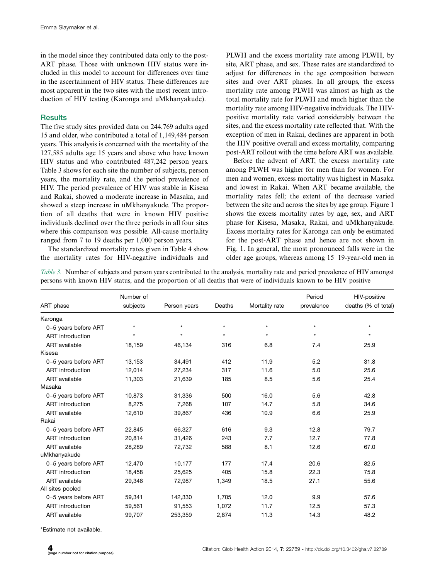in the model since they contributed data only to the post-ART phase. Those with unknown HIV status were included in this model to account for differences over time in the ascertainment of HIV status. These differences are most apparent in the two sites with the most recent introduction of HIV testing (Karonga and uMkhanyakude).

# **Results**

The five study sites provided data on 244,769 adults aged 15 and older, who contributed a total of 1,149,484 person years. This analysis is concerned with the mortality of the 127,585 adults age 15 years and above who have known HIV status and who contributed 487,242 person years. Table 3 shows for each site the number of subjects, person years, the mortality rate, and the period prevalence of HIV. The period prevalence of HIV was stable in Kisesa and Rakai, showed a moderate increase in Masaka, and showed a steep increase in uMkhanyakude. The proportion of all deaths that were in known HIV positive individuals declined over the three periods in all four sites where this comparison was possible. All-cause mortality ranged from 7 to 19 deaths per 1,000 person years.

The standardized mortality rates given in Table 4 show the mortality rates for HIV-negative individuals and

PLWH and the excess mortality rate among PLWH, by site, ART phase, and sex. These rates are standardized to adjust for differences in the age composition between sites and over ART phases. In all groups, the excess mortality rate among PLWH was almost as high as the total mortality rate for PLWH and much higher than the mortality rate among HIV-negative individuals. The HIVpositive mortality rate varied considerably between the sites, and the excess mortality rate reflected that. With the exception of men in Rakai, declines are apparent in both the HIV positive overall and excess mortality, comparing post-ART rollout with the time before ART was available.

Before the advent of ART, the excess mortality rate among PLWH was higher for men than for women. For men and women, excess mortality was highest in Masaka and lowest in Rakai. When ART became available, the mortality rates fell; the extent of the decrease varied between the site and across the sites by age group. Figure 1 shows the excess mortality rates by age, sex, and ART phase for Kisesa, Masaka, Rakai, and uMkhanyakude. Excess mortality rates for Karonga can only be estimated for the post-ART phase and hence are not shown in Fig. 1. In general, the most pronounced falls were in the older age groups, whereas among 15-19-year-old men in

Table 3. Number of subjects and person years contributed to the analysis, mortality rate and period prevalence of HIV amongst persons with known HIV status, and the proportion of all deaths that were of individuals known to be HIV positive

|                         | Number of |              |         |                | Period     | HIV-positive        |  |
|-------------------------|-----------|--------------|---------|----------------|------------|---------------------|--|
| ART phase               | subjects  | Person years | Deaths  | Mortality rate | prevalence | deaths (% of total) |  |
| Karonga                 |           |              |         |                |            |                     |  |
| 0-5 years before ART    | $\star$   | $\star$      | $\star$ | $\star$        | $\star$    | $\star$             |  |
| ART introduction        | $\star$   | $\star$      | $\star$ | $\star$        | $\star$    | $\star$             |  |
| ART available           | 18,159    | 46,134       | 316     | 6.8            | 7.4        | 25.9                |  |
| Kisesa                  |           |              |         |                |            |                     |  |
| 0-5 years before ART    | 13,153    | 34,491       | 412     | 11.9           | 5.2        | 31.8                |  |
| ART introduction        | 12,014    | 27,234       | 317     | 11.6           | 5.0        | 25.6                |  |
| ART available           | 11,303    | 21,639       | 185     | 8.5            | 5.6        | 25.4                |  |
| Masaka                  |           |              |         |                |            |                     |  |
| 0-5 years before ART    | 10,873    | 31,336       | 500     | 16.0           | 5.6        | 42.8                |  |
| <b>ART</b> introduction | 8,275     | 7,268        | 107     | 14.7           | 5.8        | 34.6                |  |
| ART available           | 12,610    | 39,867       | 436     | 10.9           | 6.6        | 25.9                |  |
| Rakai                   |           |              |         |                |            |                     |  |
| 0-5 years before ART    | 22,845    | 66.327       | 616     | 9.3            | 12.8       | 79.7                |  |
| ART introduction        | 20,814    | 31,426       | 243     | 7.7            | 12.7       | 77.8                |  |
| ART available           | 28,289    | 72,732       | 588     | 8.1            | 12.6       | 67.0                |  |
| uMkhanyakude            |           |              |         |                |            |                     |  |
| 0-5 years before ART    | 12,470    | 10,177       | 177     | 17.4           | 20.6       | 82.5                |  |
| ART introduction        | 18,458    | 25,625       | 405     | 15.8           | 22.3       | 75.8                |  |
| ART available           | 29,346    | 72,987       | 1,349   | 18.5           | 27.1       | 55.6                |  |
| All sites pooled        |           |              |         |                |            |                     |  |
| 0-5 years before ART    | 59,341    | 142,330      | 1,705   | 12.0           | 9.9        | 57.6                |  |
| <b>ART</b> introduction | 59,561    | 91,553       | 1,072   | 11.7           | 12.5       | 57.3                |  |
| ART available           | 99,707    | 253,359      | 2,874   | 11.3           | 14.3       | 48.2                |  |

\*Estimate not available.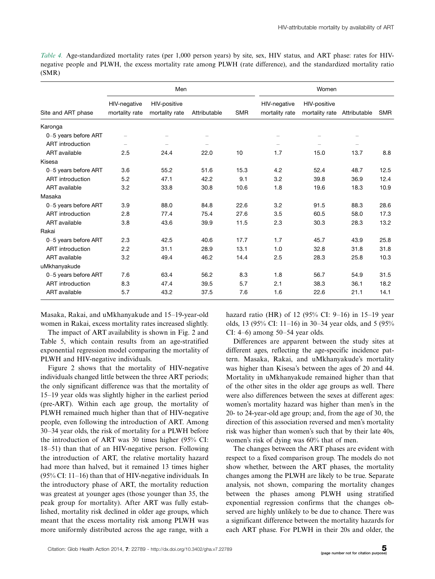Table 4. Age-standardized mortality rates (per 1,000 person years) by site, sex, HIV status, and ART phase: rates for HIVnegative people and PLWH, the excess mortality rate among PLWH (rate difference), and the standardized mortality ratio (SMR)

|                         | Men                            |                                                |                          |            | Women                          |                                |              |            |
|-------------------------|--------------------------------|------------------------------------------------|--------------------------|------------|--------------------------------|--------------------------------|--------------|------------|
| Site and ART phase      | HIV-negative<br>mortality rate | HIV-positive<br>mortality rate<br>Attributable |                          | <b>SMR</b> | HIV-negative<br>mortality rate | HIV-positive<br>mortality rate | Attributable | <b>SMR</b> |
| Karonga                 |                                |                                                |                          |            |                                |                                |              |            |
| 0-5 years before ART    | $\overline{\phantom{0}}$       |                                                | $\overline{\phantom{0}}$ |            | $\qquad \qquad -$              |                                |              |            |
| <b>ART</b> introduction |                                |                                                |                          |            |                                |                                |              |            |
| ART available           | 2.5                            | 24.4                                           | 22.0                     | 10         | 1.7                            | 15.0                           | 13.7         | 8.8        |
| Kisesa                  |                                |                                                |                          |            |                                |                                |              |            |
| 0-5 years before ART    | 3.6                            | 55.2                                           | 51.6                     | 15.3       | 4.2                            | 52.4                           | 48.7         | 12.5       |
| <b>ART</b> introduction | 5.2                            | 47.1                                           | 42.2                     | 9.1        | 3.2                            | 39.8                           | 36.9         | 12.4       |
| ART available           | 3.2                            | 33.8                                           | 30.8                     | 10.6       | 1.8                            | 19.6                           | 18.3         | 10.9       |
| Masaka                  |                                |                                                |                          |            |                                |                                |              |            |
| 0-5 years before ART    | 3.9                            | 88.0                                           | 84.8                     | 22.6       | 3.2                            | 91.5                           | 88.3         | 28.6       |
| ART introduction        | 2.8                            | 77.4                                           | 75.4                     | 27.6       | 3.5                            | 60.5                           | 58.0         | 17.3       |
| ART available           | 3.8                            | 43.6                                           | 39.9                     | 11.5       | 2.3                            | 30.3                           | 28.3         | 13.2       |
| Rakai                   |                                |                                                |                          |            |                                |                                |              |            |
| 0-5 years before ART    | 2.3                            | 42.5                                           | 40.6                     | 17.7       | 1.7                            | 45.7                           | 43.9         | 25.8       |
| <b>ART</b> introduction | 2.2                            | 31.1                                           | 28.9                     | 13.1       | 1.0                            | 32.8                           | 31.8         | 31.8       |
| ART available           | 3.2                            | 49.4                                           | 46.2                     | 14.4       | 2.5                            | 28.3                           | 25.8         | 10.3       |
| uMkhanyakude            |                                |                                                |                          |            |                                |                                |              |            |
| 0-5 years before ART    | 7.6                            | 63.4                                           | 56.2                     | 8.3        | 1.8                            | 56.7                           | 54.9         | 31.5       |
| <b>ART</b> introduction | 8.3                            | 47.4                                           | 39.5                     | 5.7        | 2.1                            | 38.3                           | 36.1         | 18.2       |
| ART available           | 5.7                            | 43.2                                           | 37.5                     | 7.6        | 1.6                            | 22.6                           | 21.1         | 14.1       |

Masaka, Rakai, and uMkhanyakude and 15-19-year-old women in Rakai, excess mortality rates increased slightly.

The impact of ART availability is shown in Fig. 2 and Table 5, which contain results from an age-stratified exponential regression model comparing the mortality of PLWH and HIV-negative individuals.

Figure 2 shows that the mortality of HIV-negative individuals changed little between the three ART periods; the only significant difference was that the mortality of 15-19 year olds was slightly higher in the earliest period (pre-ART). Within each age group, the mortality of PLWH remained much higher than that of HIV-negative people, even following the introduction of ART. Among 30-34 year olds, the risk of mortality for a PLWH before the introduction of ART was 30 times higher (95% CI: 18-51) than that of an HIV-negative person. Following the introduction of ART, the relative mortality hazard had more than halved, but it remained 13 times higher (95% CI: 11-16) than that of HIV-negative individuals. In the introductory phase of ART, the mortality reduction was greatest at younger ages (those younger than 35, the peak group for mortality). After ART was fully established, mortality risk declined in older age groups, which meant that the excess mortality risk among PLWH was more uniformly distributed across the age range, with a

hazard ratio (HR) of 12 (95% CI: 9-16) in 15-19 year olds, 13 (95% CI: 11-16) in 30-34 year olds, and 5 (95% CI: 4-6) among 50-54 year olds.

Differences are apparent between the study sites at different ages, reflecting the age-specific incidence pattern. Masaka, Rakai, and uMkhanyakude's mortality was higher than Kisesa's between the ages of 20 and 44. Mortality in uMkhanyakude remained higher than that of the other sites in the older age groups as well. There were also differences between the sexes at different ages: women's mortality hazard was higher than men's in the 20- to 24-year-old age group; and, from the age of 30, the direction of this association reversed and men's mortality risk was higher than women's such that by their late 40s, women's risk of dying was 60% that of men.

The changes between the ART phases are evident with respect to a fixed comparison group. The models do not show whether, between the ART phases, the mortality changes among the PLWH are likely to be true. Separate analysis, not shown, comparing the mortality changes between the phases among PLWH using stratified exponential regression confirms that the changes observed are highly unlikely to be due to chance. There was a significant difference between the mortality hazards for each ART phase. For PLWH in their 20s and older, the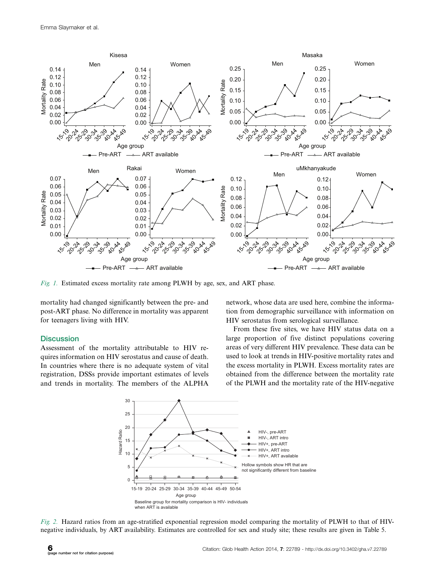

Fig. 1. Estimated excess mortality rate among PLWH by age, sex, and ART phase.

mortality had changed significantly between the pre- and post-ART phase. No difference in mortality was apparent for teenagers living with HIV.

## **Discussion**

Assessment of the mortality attributable to HIV requires information on HIV serostatus and cause of death. In countries where there is no adequate system of vital registration, DSSs provide important estimates of levels and trends in mortality. The members of the ALPHA

network, whose data are used here, combine the information from demographic surveillance with information on HIV serostatus from serological surveillance.

From these five sites, we have HIV status data on a large proportion of five distinct populations covering areas of very different HIV prevalence. These data can be used to look at trends in HIV-positive mortality rates and the excess mortality in PLWH. Excess mortality rates are obtained from the difference between the mortality rate of the PLWH and the mortality rate of the HIV-negative



Fig. 2. Hazard ratios from an age-stratified exponential regression model comparing the mortality of PLWH to that of HIVnegative individuals, by ART availability. Estimates are controlled for sex and study site; these results are given in Table 5.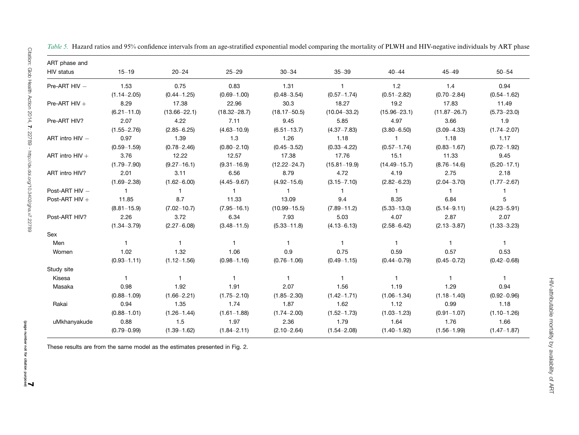| ART phase and     |                 |                  |                  |                  |                  |                  |                  |                 |
|-------------------|-----------------|------------------|------------------|------------------|------------------|------------------|------------------|-----------------|
| HIV status        | $15 - 19$       | $20 - 24$        | $25 - 29$        | $30 - 34$        | $35 - 39$        | $40 - 44$        | $45 - 49$        | $50 - 54$       |
| Pre-ART HIV -     | 1.53            | 0.75             | 0.83             | 1.31             | $\mathbf{1}$     | 1.2              | 1.4              | 0.94            |
|                   | $(1.14 - 2.05)$ | $(0.44 - 1.25)$  | $(0.69 - 1.00)$  | $(0.48 - 3.54)$  | $(0.57 - 1.74)$  | $(0.51 - 2.82)$  | $(0.70 - 2.84)$  | $(0.54 - 1.62)$ |
| Pre-ART HIV $+$   | 8.29            | 17.38            | 22.96            | 30.3             | 18.27            | 19.2             | 17.83            | 11.49           |
|                   | $(6.21 - 11.0)$ | $(13.66 - 22.1)$ | $(18.32 - 28.7)$ | $(18.17 - 50.5)$ | $(10.04 - 33.2)$ | $(15.96 - 23.1)$ | $(11.87 - 26.7)$ | $(5.73 - 23.0)$ |
| Pre-ART HIV?      | 2.07            | 4.22             | 7.11             | 9.45             | 5.85             | 4.97             | 3.66             | 1.9             |
|                   | $(1.55 - 2.76)$ | $(2.85 - 6.25)$  | $(4.63 - 10.9)$  | $(6.51 - 13.7)$  | $(4.37 - 7.83)$  | $(3.80 - 6.50)$  | $(3.09 - 4.33)$  | $(1.74 - 2.07)$ |
| ART intro $HIV -$ | 0.97            | 1.39             | 1.3              | 1.26             | 1.18             | $\mathbf{1}$     | 1.18             | 1.17            |
|                   | $(0.59 - 1.59)$ | $(0.78 - 2.46)$  | $(0.80 - 2.10)$  | $(0.45 - 3.52)$  | $(0.33 - 4.22)$  | $(0.57 - 1.74)$  | $(0.83 - 1.67)$  | $(0.72 - 1.92)$ |
| ART intro $HIV +$ | 3.76            | 12.22            | 12.57            | 17.38            | 17.76            | 15.1             | 11.33            | 9.45            |
|                   | $(1.79 - 7.90)$ | $(9.27 - 16.1)$  | $(9.31 - 16.9)$  | $(12.22 - 24.7)$ | $(15.81 - 19.9)$ | $(14.49 - 15.7)$ | $(8.76 - 14.6)$  | $(5.20 - 17.1)$ |
| ART intro HIV?    | 2.01            | 3.11             | 6.56             | 8.79             | 4.72             | 4.19             | 2.75             | 2.18            |
|                   | $(1.69 - 2.38)$ | $(1.62 - 6.00)$  | $(4.45 - 9.67)$  | $(4.92 - 15.6)$  | $(3.15 - 7.10)$  | $(2.82 - 6.23)$  | $(2.04 - 3.70)$  | $(1.77 - 2.67)$ |
| Post-ART HIV -    | $\mathbf{1}$    | $\mathbf{1}$     | $\mathbf{1}$     | $\mathbf{1}$     | $\mathbf{1}$     | $\mathbf{1}$     | $\mathbf{1}$     | $\mathbf{1}$    |
| Post-ART HIV $+$  | 11.85           | 8.7              | 11.33            | 13.09            | 9.4              | 8.35             | 6.84             | 5               |
|                   | $(8.81 - 15.9)$ | $(7.02 - 10.7)$  | $(7.95 - 16.1)$  | $(10.99 - 15.5)$ | $(7.89 - 11.2)$  | $(5.33 - 13.0)$  | $(5.14 - 9.11)$  | $(4.23 - 5.91)$ |
| Post-ART HIV?     | 2.26            | 3.72             | 6.34             | 7.93             | 5.03             | 4.07             | 2.87             | 2.07            |
|                   | $(1.34 - 3.79)$ | $(2.27 - 6.08)$  | $(3.48 - 11.5)$  | $(5.33 - 11.8)$  | $(4.13 - 6.13)$  | $(2.58 - 6.42)$  | $(2.13 - 3.87)$  | $(1.33 - 3.23)$ |
| Sex               |                 |                  |                  |                  |                  |                  |                  |                 |
| Men               | $\mathbf{1}$    | $\mathbf{1}$     |                  | $\mathbf{1}$     | $\mathbf{1}$     | $\mathbf{1}$     |                  | $\mathbf{1}$    |
| Women             | 1.02            | 1.32             | 1.06             | 0.9              | 0.75             | 0.59             | 0.57             | 0.53            |
|                   | $(0.93 - 1.11)$ | $(1.12 - 1.56)$  | $(0.98 - 1.16)$  | $(0.76 - 1.06)$  | $(0.49 - 1.15)$  | $(0.44 - 0.79)$  | $(0.45 - 0.72)$  | $(0.42 - 0.68)$ |
| Study site        |                 |                  |                  |                  |                  |                  |                  |                 |
| Kisesa            | -1              | 1.               | $\mathbf{1}$     | $\mathbf{1}$     | $\mathbf{1}$     |                  |                  | $\mathbf{1}$    |
| Masaka            | 0.98            | 1.92             | 1.91             | 2.07             | 1.56             | 1.19             | 1.29             | 0.94            |
|                   | $(0.88 - 1.09)$ | $(1.66 - 2.21)$  | $(1.75 - 2.10)$  | $(1.85 - 2.30)$  | $(1.42 - 1.71)$  | $(1.06 - 1.34)$  | $(1.18 - 1.40)$  | $(0.92 - 0.96)$ |
| Rakai             | 0.94            | 1.35             | 1.74             | 1.87             | 1.62             | 1.12             | 0.99             | 1.18            |
|                   | $(0.88 - 1.01)$ | $(1.26 - 1.44)$  | $(1.61 - 1.88)$  | $(1.74 - 2.00)$  | $(1.52 - 1.73)$  | $(1.03 - 1.23)$  | $(0.91 - 1.07)$  | $(1.10 - 1.26)$ |
| uMkhanyakude      | 0.88            | 1.5              | 1.97             | 2.36             | 1.79             | 1.64             | 1.76             | 1.66            |
|                   | $(0.79 - 0.99)$ | $(1.39 - 1.62)$  | $(1.84 - 2.11)$  | $(2.10 - 2.64)$  | $(1.54 - 2.08)$  | $(1.40 - 1.92)$  | $(1.56 - 1.99)$  | $(1.47 - 1.87)$ |

Table 5. Hazard ratios and 95% confidence intervals from an age-stratified exponential model comparing the mortality of PLWH and HIV-negative individuals by ART phase

These results are from the same model as the estimates presented in Fig. 2.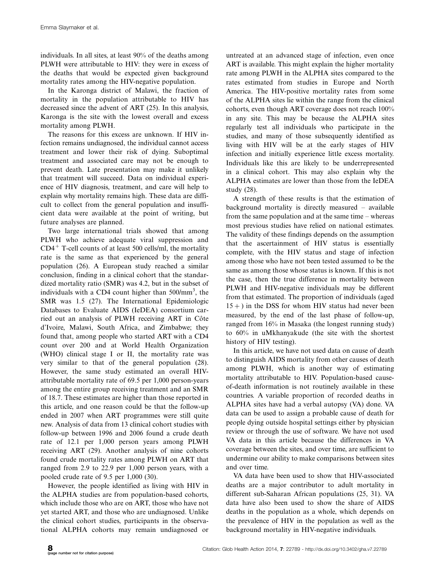individuals. In all sites, at least 90% of the deaths among PLWH were attributable to HIV: they were in excess of the deaths that would be expected given background mortality rates among the HIV-negative population.

In the Karonga district of Malawi, the fraction of mortality in the population attributable to HIV has decreased since the advent of ART (25). In this analysis, Karonga is the site with the lowest overall and excess mortality among PLWH.

The reasons for this excess are unknown. If HIV infection remains undiagnosed, the individual cannot access treatment and lower their risk of dying. Suboptimal treatment and associated care may not be enough to prevent death. Late presentation may make it unlikely that treatment will succeed. Data on individual experience of HIV diagnosis, treatment, and care will help to explain why mortality remains high. These data are difficult to collect from the general population and insufficient data were available at the point of writing, but future analyses are planned.

Two large international trials showed that among PLWH who achieve adequate viral suppression and  $CD4^+$  T-cell counts of at least 500 cells/ml, the mortality rate is the same as that experienced by the general population (26). A European study reached a similar conclusion, finding in a clinical cohort that the standardized mortality ratio (SMR) was 4.2, but in the subset of individuals with a CD4 count higher than 500/mm<sup>3</sup>, the SMR was 1.5 (27). The International Epidemiologic Databases to Evaluate AIDS (IeDEA) consortium carried out an analysis of PLWH receiving ART in Côte d'Ivoire, Malawi, South Africa, and Zimbabwe; they found that, among people who started ART with a CD4 count over 200 and at World Health Organization (WHO) clinical stage I or II, the mortality rate was very similar to that of the general population (28). However, the same study estimated an overall HIVattributable mortality rate of 69.5 per 1,000 person-years among the entire group receiving treatment and an SMR of 18.7. These estimates are higher than those reported in this article, and one reason could be that the follow-up ended in 2007 when ART programmes were still quite new. Analysis of data from 13 clinical cohort studies with follow-up between 1996 and 2006 found a crude death rate of 12.1 per 1,000 person years among PLWH receiving ART (29). Another analysis of nine cohorts found crude mortality rates among PLWH on ART that ranged from 2.9 to 22.9 per 1,000 person years, with a pooled crude rate of 9.5 per 1,000 (30).

However, the people identified as living with HIV in the ALPHA studies are from population-based cohorts, which include those who are on ART, those who have not yet started ART, and those who are undiagnosed. Unlike the clinical cohort studies, participants in the observational ALPHA cohorts may remain undiagnosed or untreated at an advanced stage of infection, even once ART is available. This might explain the higher mortality rate among PLWH in the ALPHA sites compared to the rates estimated from studies in Europe and North America. The HIV-positive mortality rates from some of the ALPHA sites lie within the range from the clinical cohorts, even though ART coverage does not reach 100% in any site. This may be because the ALPHA sites regularly test all individuals who participate in the studies, and many of those subsequently identified as living with HIV will be at the early stages of HIV infection and initially experience little excess mortality. Individuals like this are likely to be underrepresented in a clinical cohort. This may also explain why the ALPHA estimates are lower than those from the IeDEA study (28).

A strength of these results is that the estimation of  $background$  mortality is directly measured  $-$  available from the same population and at the same time – whereas most previous studies have relied on national estimates. The validity of these findings depends on the assumption that the ascertainment of HIV status is essentially complete, with the HIV status and stage of infection among those who have not been tested assumed to be the same as among those whose status is known. If this is not the case, then the true difference in mortality between PLWH and HIV-negative individuals may be different from that estimated. The proportion of individuals (aged  $15+$ ) in the DSS for whom HIV status had never been measured, by the end of the last phase of follow-up, ranged from 16% in Masaka (the longest running study) to 60% in uMkhanyakude (the site with the shortest history of HIV testing).

In this article, we have not used data on cause of death to distinguish AIDS mortality from other causes of death among PLWH, which is another way of estimating mortality attributable to HIV. Population-based causeof-death information is not routinely available in these countries. A variable proportion of recorded deaths in ALPHA sites have had a verbal autopsy (VA) done. VA data can be used to assign a probable cause of death for people dying outside hospital settings either by physician review or through the use of software. We have not used VA data in this article because the differences in VA coverage between the sites, and over time, are sufficient to undermine our ability to make comparisons between sites and over time.

VA data have been used to show that HIV-associated deaths are a major contributor to adult mortality in different sub-Saharan African populations (25, 31). VA data have also been used to show the share of AIDS deaths in the population as a whole, which depends on the prevalence of HIV in the population as well as the background mortality in HIV-negative individuals.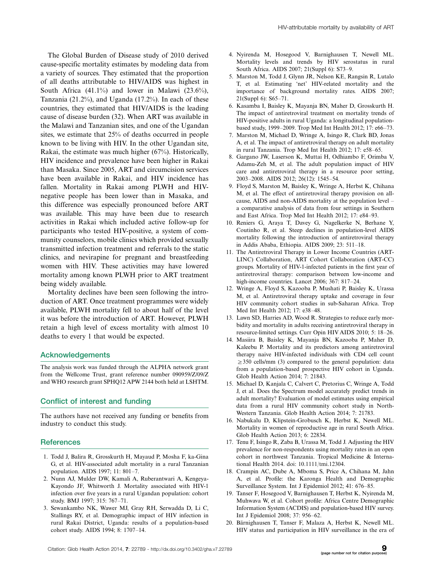The Global Burden of Disease study of 2010 derived cause-specific mortality estimates by modeling data from a variety of sources. They estimated that the proportion of all deaths attributable to HIV/AIDS was highest in South Africa  $(41.1\%)$  and lower in Malawi  $(23.6\%)$ , Tanzania (21.2%), and Uganda (17.2%). In each of these countries, they estimated that HIV/AIDS is the leading cause of disease burden (32). When ART was available in the Malawi and Tanzanian sites, and one of the Ugandan sites, we estimate that 25% of deaths occurred in people known to be living with HIV. In the other Ugandan site, Rakai, the estimate was much higher (67%). Historically, HIV incidence and prevalence have been higher in Rakai than Masaka. Since 2005, ART and circumcision services have been available in Rakai, and HIV incidence has fallen. Mortality in Rakai among PLWH and HIVnegative people has been lower than in Masaka, and this difference was especially pronounced before ART was available. This may have been due to research activities in Rakai which included active follow-up for participants who tested HIV-positive, a system of community counselors, mobile clinics which provided sexually transmitted infection treatment and referrals to the static clinics, and nevirapine for pregnant and breastfeeding women with HIV. These activities may have lowered mortality among known PLWH prior to ART treatment being widely available.

Mortality declines have been seen following the introduction of ART. Once treatment programmes were widely available, PLWH mortality fell to about half of the level it was before the introduction of ART. However, PLWH retain a high level of excess mortality with almost 10 deaths to every 1 that would be expected.

## Acknowledgements

The analysis work was funded through the ALPHA network grant from the Wellcome Trust, grant reference number 090959/Z/09/Z and WHO research grant SPHQ12 APW 2144 both held at LSHTM.

# Conflict of interest and funding

The authors have not received any funding or benefits from industry to conduct this study.

## **References**

- 1. Todd J, Balira R, Grosskurth H, Mayaud P, Mosha F, ka-Gina G, et al. HIV-associated adult mortality in a rural Tanzanian population. AIDS 1997; 11: 801-7.
- 2. Nunn AJ, Mulder DW, Kamali A, Ruberantwari A, Kengeya-Kayondo JF, Whitworth J. Mortality associated with HIV-1 infection over five years in a rural Ugandan population: cohort study. BMJ 1997; 315: 767-71.
- 3. Sewankambo NK, Wawer MJ, Gray RH, Serwadda D, Li C, Stallings RY, et al. Demographic impact of HIV infection in rural Rakai District, Uganda: results of a population-based cohort study. AIDS 1994; 8: 1707-14.
- 4. Nyirenda M, Hosegood V, Barnighausen T, Newell ML. Mortality levels and trends by HIV serostatus in rural South Africa. AIDS 2007; 21(Suppl 6): S73-9.
- 5. Marston M, Todd J, Glynn JR, Nelson KE, Rangsin R, Lutalo T, et al. Estimating 'net' HIV-related mortality and the importance of background mortality rates. AIDS 2007; 21(Suppl 6): S65-71.
- 6. Kasamba I, Baisley K, Mayanja BN, Maher D, Grosskurth H. The impact of antiretroviral treatment on mortality trends of HIV-positive adults in rural Uganda: a longitudinal populationbased study, 1999-2009. Trop Med Int Health 2012; 17: e66-73.
- 7. Marston M, Michael D, Wringe A, Isingo R, Clark BD, Jonas A, et al. The impact of antiretroviral therapy on adult mortality in rural Tanzania. Trop Med Int Health 2012; 17: e58-65.
- 8. Gargano JW, Laserson K, Muttai H, Odhiambo F, Orimba V, Adamu-Zeh M, et al. The adult population impact of HIV care and antiretroviral therapy in a resource poor setting, 2003-2008. AIDS 2012; 26(12): 1545-54.
- 9. Floyd S, Marston M, Baisley K, Wringe A, Herbst K, Chihana M, et al. The effect of antiretroviral therapy provision on allcause, AIDS and non-AIDS mortality at the population level a comparative analysis of data from four settings in Southern and East Africa. Trop Med Int Health 2012; 17: e84-93.
- 10. Reniers G, Araya T, Davey G, Nagelkerke N, Berhane Y, Coutinho R, et al. Steep declines in population-level AIDS mortality following the introduction of antiretroviral therapy in Addis Ababa, Ethiopia. AIDS 2009; 23: 511-18.
- 11. The Antiretroviral Therapy in Lower Income Countries (ART-LINC) Collaboration, ART Cohort Collaboration (ART-CC) groups. Mortality of HIV-1-infected patients in the first year of antiretroviral therapy: comparison between low-income and high-income countries. Lancet 2006; 367: 817–24.
- 12. Wringe A, Floyd S, Kazooba P, Mushati P, Baisley K, Urassa M, et al. Antiretroviral therapy uptake and coverage in four HIV community cohort studies in sub-Saharan Africa. Trop Med Int Health 2012; 17: e38-48.
- 13. Lawn SD, Harries AD, Wood R. Strategies to reduce early morbidity and mortality in adults receiving antiretroviral therapy in resource-limited settings. Curr Opin HIV AIDS 2010; 5: 18-26.
- 14. Masiira B, Baisley K, Mayanja BN, Kazooba P, Maher D, Kaleebu P. Mortality and its predictors among antiretroviral therapy naive HIV-infected individuals with CD4 cell count  $\geq$  350 cells/mm (3) compared to the general population: data from a population-based prospective HIV cohort in Uganda. Glob Health Action 2014; 7: 21843.
- 15. Michael D, Kanjala C, Calvert C, Pretorius C, Wringe A, Todd J, et al. Does the Spectrum model accurately predict trends in adult mortality? Evaluation of model estimates using empirical data from a rural HIV community cohort study in North-Western Tanzania. Glob Health Action 2014; 7: 21783.
- 16. Nabukalu D, Klipstein-Grobusch K, Herbst K, Newell ML. Mortality in women of reproductive age in rural South Africa. Glob Health Action 2013; 6: 22834.
- 17. Tenu F, Isingo R, Zaba B, Urassa M, Todd J. Adjusting the HIV prevalence for non-respondents using mortality rates in an open cohort in northwest Tanzania. Tropical Medicine & International Health 2014. doi: 10.1111/tmi.12304.
- 18. Crampin AC, Dube A, Mboma S, Price A, Chihana M, Jahn A, et al. Profile: the Karonga Health and Demographic Surveillance System. Int J Epidemiol 2012; 41: 676-85.
- 19. Tanser F, Hosegood V, Barnighausen T, Herbst K, Nyirenda M, Muhwava W, et al. Cohort profile: Africa Centre Demographic Information System (ACDIS) and population-based HIV survey. Int J Epidemiol 2008; 37: 956-62.
- 20. Bärnighausen T, Tanser F, Malaza A, Herbst K, Newell ML. HIV status and participation in HIV surveillance in the era of